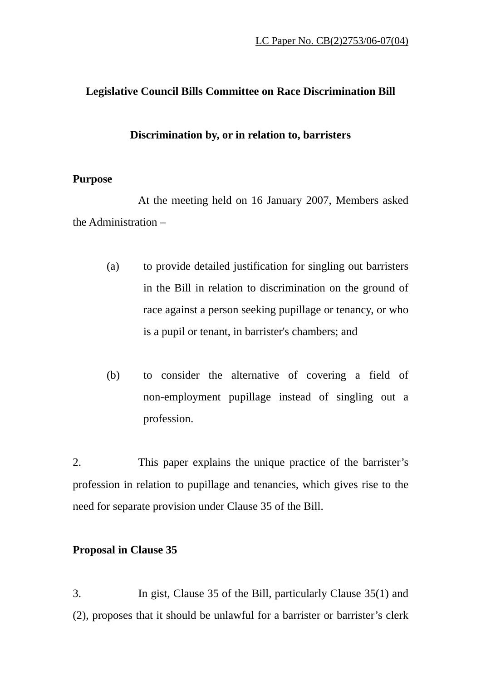# **Legislative Council Bills Committee on Race Discrimination Bill**

#### **Discrimination by, or in relation to, barristers**

### **Purpose**

At the meeting held on 16 January 2007, Members asked the Administration –

- (a) to provide detailed justification for singling out barristers in the Bill in relation to discrimination on the ground of race against a person seeking pupillage or tenancy, or who is a pupil or tenant, in barrister's chambers; and
- (b) to consider the alternative of covering a field of non-employment pupillage instead of singling out a profession.

2. This paper explains the unique practice of the barrister's profession in relation to pupillage and tenancies, which gives rise to the need for separate provision under Clause 35 of the Bill.

# **Proposal in Clause 35**

3. In gist, Clause 35 of the Bill, particularly Clause 35(1) and (2), proposes that it should be unlawful for a barrister or barrister's clerk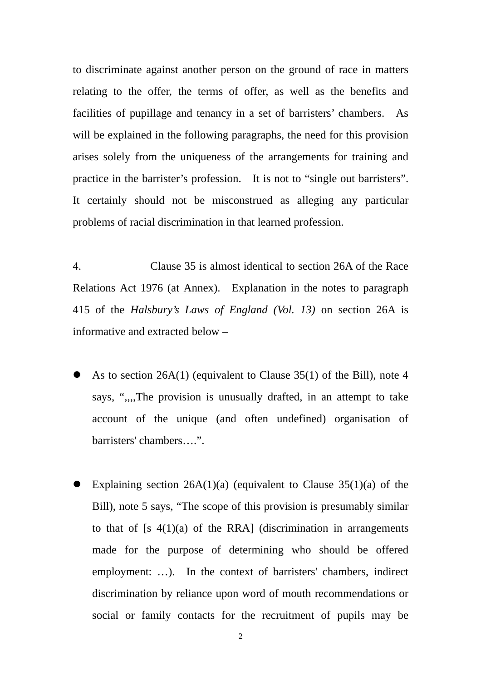to discriminate against another person on the ground of race in matters relating to the offer, the terms of offer, as well as the benefits and facilities of pupillage and tenancy in a set of barristers' chambers. As will be explained in the following paragraphs, the need for this provision arises solely from the uniqueness of the arrangements for training and practice in the barrister's profession. It is not to "single out barristers". It certainly should not be misconstrued as alleging any particular problems of racial discrimination in that learned profession.

4. Clause 35 is almost identical to section 26A of the Race Relations Act 1976 (at Annex). Explanation in the notes to paragraph 415 of the *Halsbury's Laws of England (Vol. 13)* on section 26A is informative and extracted below –

- As to section  $26A(1)$  (equivalent to Clause 35(1) of the Bill), note 4 says, ",,,,The provision is unusually drafted, in an attempt to take account of the unique (and often undefined) organisation of barristers' chambers….".
- Explaining section  $26A(1)(a)$  (equivalent to Clause  $35(1)(a)$  of the Bill), note 5 says, "The scope of this provision is presumably similar to that of  $[s \ 4(1)(a)$  of the RRA] (discrimination in arrangements made for the purpose of determining who should be offered employment: …). In the context of barristers' chambers, indirect discrimination by reliance upon word of mouth recommendations or social or family contacts for the recruitment of pupils may be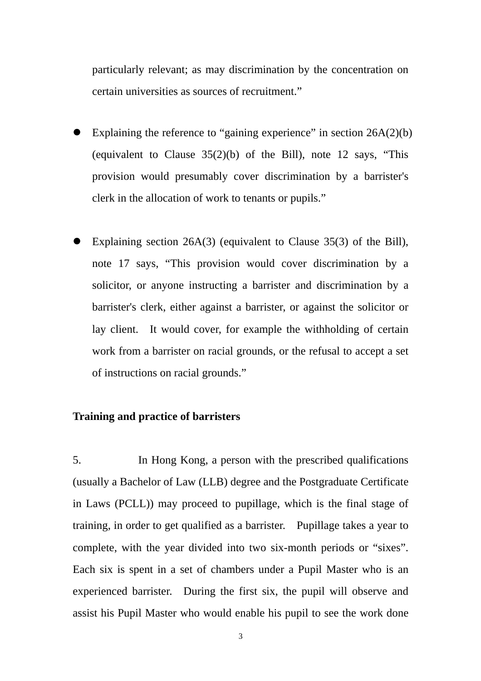particularly relevant; as may discrimination by the concentration on certain universities as sources of recruitment."

- Explaining the reference to "gaining experience" in section 26A(2)(b) (equivalent to Clause 35(2)(b) of the Bill), note 12 says, "This provision would presumably cover discrimination by a barrister's clerk in the allocation of work to tenants or pupils."
- Explaining section  $26A(3)$  (equivalent to Clause 35(3) of the Bill), note 17 says, "This provision would cover discrimination by a solicitor, or anyone instructing a barrister and discrimination by a barrister's clerk, either against a barrister, or against the solicitor or lay client. It would cover, for example the withholding of certain work from a barrister on racial grounds, or the refusal to accept a set of instructions on racial grounds."

#### **Training and practice of barristers**

5. In Hong Kong, a person with the prescribed qualifications (usually a Bachelor of Law (LLB) degree and the Postgraduate Certificate in Laws (PCLL)) may proceed to pupillage, which is the final stage of training, in order to get qualified as a barrister. Pupillage takes a year to complete, with the year divided into two six-month periods or "sixes". Each six is spent in a set of chambers under a Pupil Master who is an experienced barrister. During the first six, the pupil will observe and assist his Pupil Master who would enable his pupil to see the work done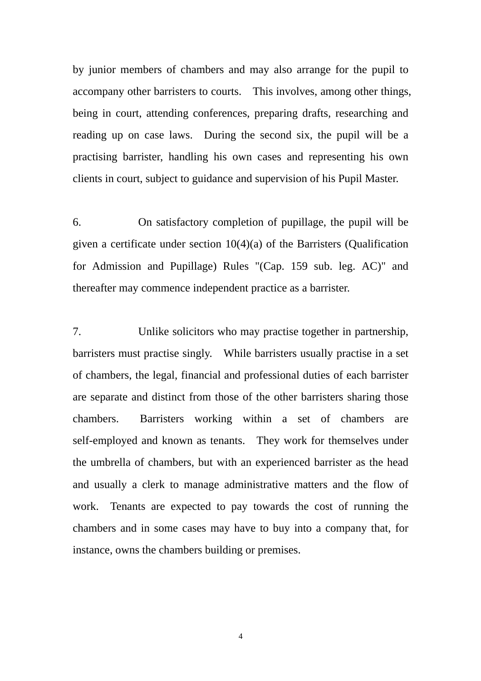by junior members of chambers and may also arrange for the pupil to accompany other barristers to courts. This involves, among other things, being in court, attending conferences, preparing drafts, researching and reading up on case laws. During the second six, the pupil will be a practising barrister, handling his own cases and representing his own clients in court, subject to guidance and supervision of his Pupil Master.

6. On satisfactory completion of pupillage, the pupil will be given a certificate under section 10(4)(a) of the Barristers (Qualification for Admission and Pupillage) Rules "(Cap. 159 sub. leg. AC)" and thereafter may commence independent practice as a barrister.

7. Unlike solicitors who may practise together in partnership, barristers must practise singly. While barristers usually practise in a set of chambers, the legal, financial and professional duties of each barrister are separate and distinct from those of the other barristers sharing those chambers. Barristers working within a set of chambers are self-employed and known as tenants. They work for themselves under the umbrella of chambers, but with an experienced barrister as the head and usually a clerk to manage administrative matters and the flow of work. Tenants are expected to pay towards the cost of running the chambers and in some cases may have to buy into a company that, for instance, owns the chambers building or premises.

4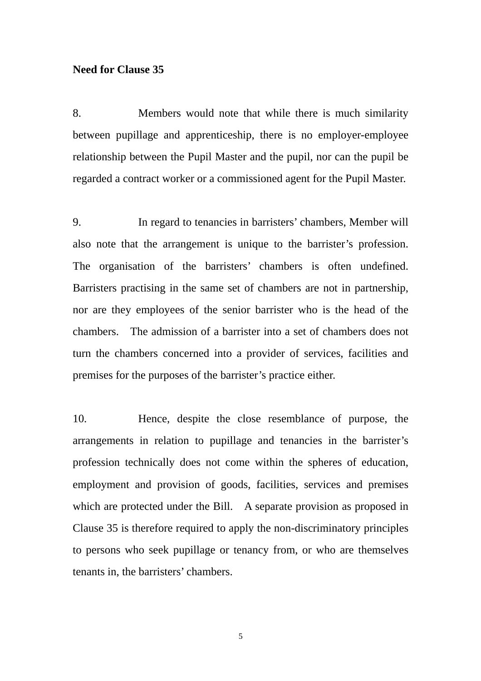# **Need for Clause 35**

8. Members would note that while there is much similarity between pupillage and apprenticeship, there is no employer-employee relationship between the Pupil Master and the pupil, nor can the pupil be regarded a contract worker or a commissioned agent for the Pupil Master.

9. In regard to tenancies in barristers' chambers, Member will also note that the arrangement is unique to the barrister's profession. The organisation of the barristers' chambers is often undefined. Barristers practising in the same set of chambers are not in partnership, nor are they employees of the senior barrister who is the head of the chambers. The admission of a barrister into a set of chambers does not turn the chambers concerned into a provider of services, facilities and premises for the purposes of the barrister's practice either.

10. Hence, despite the close resemblance of purpose, the arrangements in relation to pupillage and tenancies in the barrister's profession technically does not come within the spheres of education, employment and provision of goods, facilities, services and premises which are protected under the Bill. A separate provision as proposed in Clause 35 is therefore required to apply the non-discriminatory principles to persons who seek pupillage or tenancy from, or who are themselves tenants in, the barristers' chambers.

5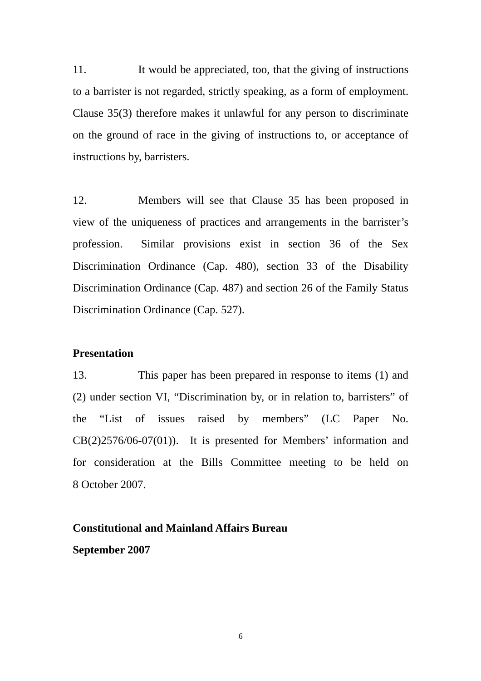11. It would be appreciated, too, that the giving of instructions to a barrister is not regarded, strictly speaking, as a form of employment. Clause 35(3) therefore makes it unlawful for any person to discriminate on the ground of race in the giving of instructions to, or acceptance of instructions by, barristers.

12. Members will see that Clause 35 has been proposed in view of the uniqueness of practices and arrangements in the barrister's profession. Similar provisions exist in section 36 of the Sex Discrimination Ordinance (Cap. 480), section 33 of the Disability Discrimination Ordinance (Cap. 487) and section 26 of the Family Status Discrimination Ordinance (Cap. 527).

# **Presentation**

13. This paper has been prepared in response to items (1) and (2) under section VI, "Discrimination by, or in relation to, barristers" of the "List of issues raised by members" (LC Paper No. CB(2)2576/06-07(01)). It is presented for Members' information and for consideration at the Bills Committee meeting to be held on 8 October 2007.

# **Constitutional and Mainland Affairs Bureau September 2007**